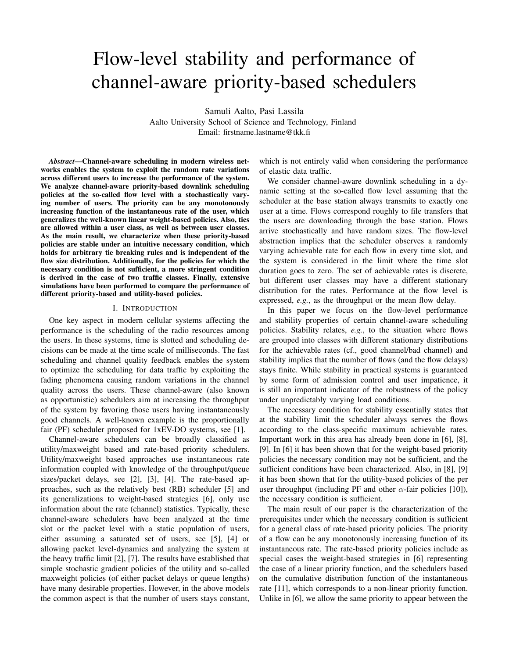# Flow-level stability and performance of channel-aware priority-based schedulers

Samuli Aalto, Pasi Lassila

Aalto University School of Science and Technology, Finland Email: firstname.lastname@tkk.fi

*Abstract*—Channel-aware scheduling in modern wireless networks enables the system to exploit the random rate variations across different users to increase the performance of the system. We analyze channel-aware priority-based downlink scheduling policies at the so-called flow level with a stochastically varying number of users. The priority can be any monotonously increasing function of the instantaneous rate of the user, which generalizes the well-known linear weight-based policies. Also, ties are allowed within a user class, as well as between user classes. As the main result, we characterize when these priority-based policies are stable under an intuitive necessary condition, which holds for arbitrary tie breaking rules and is independent of the flow size distribution. Additionally, for the policies for which the necessary condition is not sufficient, a more stringent condition is derived in the case of two traffic classes. Finally, extensive simulations have been performed to compare the performance of different priority-based and utility-based policies.

#### I. INTRODUCTION

One key aspect in modern cellular systems affecting the performance is the scheduling of the radio resources among the users. In these systems, time is slotted and scheduling decisions can be made at the time scale of milliseconds. The fast scheduling and channel quality feedback enables the system to optimize the scheduling for data traffic by exploiting the fading phenomena causing random variations in the channel quality across the users. These channel-aware (also known as opportunistic) schedulers aim at increasing the throughput of the system by favoring those users having instantaneously good channels. A well-known example is the proportionally fair (PF) scheduler proposed for 1xEV-DO systems, see [1].

Channel-aware schedulers can be broadly classified as utility/maxweight based and rate-based priority schedulers. Utility/maxweight based approaches use instantaneous rate information coupled with knowledge of the throughput/queue sizes/packet delays, see [2], [3], [4]. The rate-based approaches, such as the relatively best (RB) scheduler [5] and its generalizations to weight-based strategies [6], only use information about the rate (channel) statistics. Typically, these channel-aware schedulers have been analyzed at the time slot or the packet level with a static population of users, either assuming a saturated set of users, see [5], [4] or allowing packet level-dynamics and analyzing the system at the heavy traffic limit [2], [7]. The results have established that simple stochastic gradient policies of the utility and so-called maxweight policies (of either packet delays or queue lengths) have many desirable properties. However, in the above models the common aspect is that the number of users stays constant,

which is not entirely valid when considering the performance of elastic data traffic.

We consider channel-aware downlink scheduling in a dynamic setting at the so-called flow level assuming that the scheduler at the base station always transmits to exactly one user at a time. Flows correspond roughly to file transfers that the users are downloading through the base station. Flows arrive stochastically and have random sizes. The flow-level abstraction implies that the scheduler observes a randomly varying achievable rate for each flow in every time slot, and the system is considered in the limit where the time slot duration goes to zero. The set of achievable rates is discrete, but different user classes may have a different stationary distribution for the rates. Performance at the flow level is expressed, *e.g.*, as the throughput or the mean flow delay.

In this paper we focus on the flow-level performance and stability properties of certain channel-aware scheduling policies. Stability relates, *e.g.*, to the situation where flows are grouped into classes with different stationary distributions for the achievable rates (cf., good channel/bad channel) and stability implies that the number of flows (and the flow delays) stays finite. While stability in practical systems is guaranteed by some form of admission control and user impatience, it is still an important indicator of the robustness of the policy under unpredictably varying load conditions.

The necessary condition for stability essentially states that at the stability limit the scheduler always serves the flows according to the class-specific maximum achievable rates. Important work in this area has already been done in [6], [8], [9]. In [6] it has been shown that for the weight-based priority policies the necessary condition may not be sufficient, and the sufficient conditions have been characterized. Also, in [8], [9] it has been shown that for the utility-based policies of the per user throughput (including PF and other  $\alpha$ -fair policies [10]), the necessary condition is sufficient.

The main result of our paper is the characterization of the prerequisites under which the necessary condition is sufficient for a general class of rate-based priority policies. The priority of a flow can be any monotonously increasing function of its instantaneous rate. The rate-based priority policies include as special cases the weight-based strategies in [6] representing the case of a linear priority function, and the schedulers based on the cumulative distribution function of the instantaneous rate [11], which corresponds to a non-linear priority function. Unlike in [6], we allow the same priority to appear between the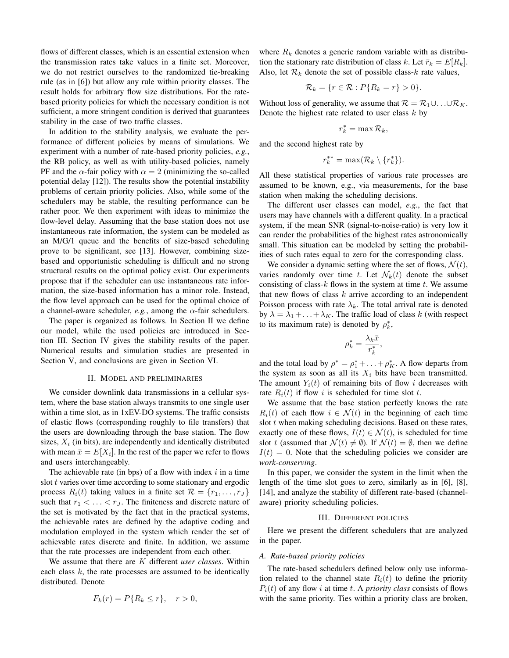flows of different classes, which is an essential extension when the transmission rates take values in a finite set. Moreover, we do not restrict ourselves to the randomized tie-breaking rule (as in [6]) but allow any rule within priority classes. The result holds for arbitrary flow size distributions. For the ratebased priority policies for which the necessary condition is not sufficient, a more stringent condition is derived that guarantees stability in the case of two traffic classes.

In addition to the stability analysis, we evaluate the performance of different policies by means of simulations. We experiment with a number of rate-based priority policies, *e.g.*, the RB policy, as well as with utility-based policies, namely PF and the  $\alpha$ -fair policy with  $\alpha = 2$  (minimizing the so-called potential delay [12]). The results show the potential instability problems of certain priority policies. Also, while some of the schedulers may be stable, the resulting performance can be rather poor. We then experiment with ideas to minimize the flow-level delay. Assuming that the base station does not use instantaneous rate information, the system can be modeled as an M/G/1 queue and the benefits of size-based scheduling prove to be significant, see [13]. However, combining sizebased and opportunistic scheduling is difficult and no strong structural results on the optimal policy exist. Our experiments propose that if the scheduler can use instantaneous rate information, the size-based information has a minor role. Instead, the flow level approach can be used for the optimal choice of a channel-aware scheduler, *e.g.*, among the *α*-fair schedulers.

The paper is organized as follows. In Section II we define our model, while the used policies are introduced in Section III. Section IV gives the stability results of the paper. Numerical results and simulation studies are presented in Section V, and conclusions are given in Section VI.

# II. MODEL AND PRELIMINARIES

We consider downlink data transmissions in a cellular system, where the base station always transmits to one single user within a time slot, as in 1xEV-DO systems. The traffic consists of elastic flows (corresponding roughly to file transfers) that the users are downloading through the base station. The flow sizes,  $X_i$  (in bits), are independently and identically distributed with mean  $\bar{x} = E[X_i]$ . In the rest of the paper we refer to flows and users interchangeably.

The achievable rate (in bps) of a flow with index *i* in a time slot *t* varies over time according to some stationary and ergodic process  $R_i(t)$  taking values in a finite set  $\mathcal{R} = \{r_1, \ldots, r_J\}$ such that  $r_1 < \ldots < r_J$ . The finiteness and discrete nature of the set is motivated by the fact that in the practical systems, the achievable rates are defined by the adaptive coding and modulation employed in the system which render the set of achievable rates discrete and finite. In addition, we assume that the rate processes are independent from each other.

We assume that there are *K* different *user classes*. Within each class *k*, the rate processes are assumed to be identically distributed. Denote

$$
F_k(r) = P\{R_k \le r\}, \quad r > 0,
$$

where  $R_k$  denotes a generic random variable with as distribution the stationary rate distribution of class *k*. Let  $\bar{r}_k = E[R_k]$ . Also, let  $\mathcal{R}_k$  denote the set of possible class- $k$  rate values,

$$
\mathcal{R}_k = \{r \in \mathcal{R} : P\{R_k = r\} > 0\}.
$$

Without loss of generality, we assume that  $\mathcal{R} = \mathcal{R}_1 \cup \ldots \cup \mathcal{R}_K$ . Denote the highest rate related to user class *k* by

$$
r_k^* = \max \mathcal{R}_k,
$$

and the second highest rate by

$$
r_k^{**} = \max(\mathcal{R}_k \setminus \{r_k^*\}).
$$

All these statistical properties of various rate processes are assumed to be known, e.g., via measurements, for the base station when making the scheduling decisions.

The different user classes can model, *e.g.*, the fact that users may have channels with a different quality. In a practical system, if the mean SNR (signal-to-noise-ratio) is very low it can render the probabilities of the highest rates astronomically small. This situation can be modeled by setting the probabilities of such rates equal to zero for the corresponding class.

We consider a dynamic setting where the set of flows,  $\mathcal{N}(t)$ , varies randomly over time *t*. Let  $\mathcal{N}_k(t)$  denote the subset consisting of class-*k* flows in the system at time *t*. We assume that new flows of class *k* arrive according to an independent Poisson process with rate  $\lambda_k$ . The total arrival rate is denoted by  $\lambda = \lambda_1 + \ldots + \lambda_K$ . The traffic load of class *k* (with respect to its maximum rate) is denoted by  $\rho_k^*$ ,

$$
\rho_k^* = \frac{\lambda_k \bar{x}}{r_k^*},
$$

and the total load by  $\rho^* = \rho_1^* + \ldots + \rho_K^*$ . A flow departs from the system as soon as all its  $X_i$  bits have been transmitted. The amount  $Y_i(t)$  of remaining bits of flow *i* decreases with rate  $R_i(t)$  if flow *i* is scheduled for time slot *t*.

We assume that the base station perfectly knows the rate  $R_i(t)$  of each flow  $i \in \mathcal{N}(t)$  in the beginning of each time slot *t* when making scheduling decisions. Based on these rates, exactly one of these flows,  $I(t) \in \mathcal{N}(t)$ , is scheduled for time slot *t* (assumed that  $\mathcal{N}(t) \neq \emptyset$ ). If  $\mathcal{N}(t) = \emptyset$ , then we define  $I(t) = 0$ . Note that the scheduling policies we consider are *work-conserving*.

In this paper, we consider the system in the limit when the length of the time slot goes to zero, similarly as in [6], [8], [14], and analyze the stability of different rate-based (channelaware) priority scheduling policies.

## III. DIFFERENT POLICIES

Here we present the different schedulers that are analyzed in the paper.

#### *A. Rate-based priority policies*

The rate-based schedulers defined below only use information related to the channel state  $R_i(t)$  to define the priority  $P_i(t)$  of any flow *i* at time *t*. A *priority class* consists of flows with the same priority. Ties within a priority class are broken,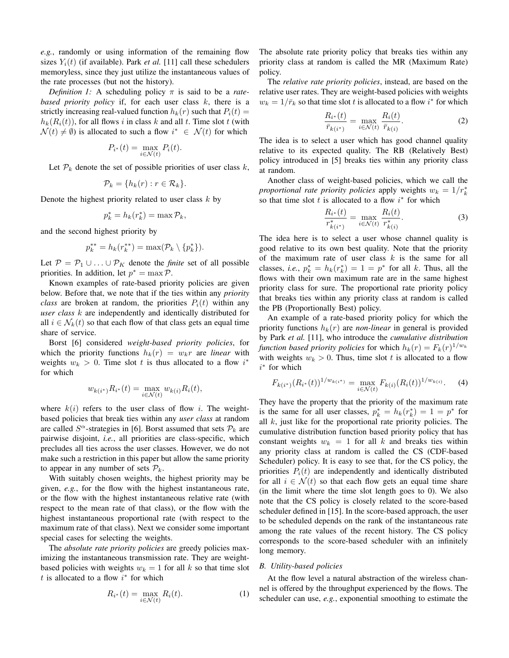*e.g.*, randomly or using information of the remaining flow sizes  $Y_i(t)$  (if available). Park *et al.* [11] call these schedulers memoryless, since they just utilize the instantaneous values of the rate processes (but not the history).

*Definition 1:* A scheduling policy  $\pi$  is said to be a *ratebased priority policy* if, for each user class *k*, there is a strictly increasing real-valued function  $h_k(r)$  such that  $P_i(t)$  $h_k(R_i(t))$ , for all flows *i* in class *k* and all *t*. Time slot *t* (with  $\mathcal{N}(t) \neq \emptyset$ ) is allocated to such a flow  $i^* \in \mathcal{N}(t)$  for which

$$
P_{i^*}(t) = \max_{i \in \mathcal{N}(t)} P_i(t).
$$

Let  $P_k$  denote the set of possible priorities of user class  $k$ ,

$$
\mathcal{P}_k = \{h_k(r) : r \in \mathcal{R}_k\}.
$$

Denote the highest priority related to user class *k* by

$$
p_k^* = h_k(r_k^*) = \max \mathcal{P}_k,
$$

and the second highest priority by

$$
p_k^{**} = h_k(r_k^{**}) = \max(\mathcal{P}_k \setminus \{p_k^*\}).
$$

Let  $P = P_1 \cup ... \cup P_K$  denote the *finite* set of all possible priorities. In addition, let  $p^* = \max \mathcal{P}$ .

Known examples of rate-based priority policies are given below. Before that, we note that if the ties within any *priority class* are broken at random, the priorities  $P_i(t)$  within any *user class k* are independently and identically distributed for all  $i \in \mathcal{N}_k(t)$  so that each flow of that class gets an equal time share of service.

Borst [6] considered *weight-based priority policies*, for which the priority functions  $h_k(r) = w_k r$  are *linear* with weights  $w_k > 0$ . Time slot *t* is thus allocated to a flow  $i^*$ for which

$$
w_{k(i^*)} R_{i^*}(t) = \max_{i \in \mathcal{N}(t)} w_{k(i)} R_i(t),
$$

where  $k(i)$  refers to the user class of flow *i*. The weightbased policies that break ties within any *user class* at random are called  $S^{\alpha}$ -strategies in [6]. Borst assumed that sets  $\mathcal{P}_k$  are pairwise disjoint, *i.e.*, all priorities are class-specific, which precludes all ties across the user classes. However, we do not make such a restriction in this paper but allow the same priority to appear in any number of sets  $\mathcal{P}_k$ .

With suitably chosen weights, the highest priority may be given, *e.g.*, for the flow with the highest instantaneous rate, or the flow with the highest instantaneous relative rate (with respect to the mean rate of that class), or the flow with the highest instantaneous proportional rate (with respect to the maximum rate of that class). Next we consider some important special cases for selecting the weights.

The *absolute rate priority policies* are greedy policies maximizing the instantaneous transmission rate. They are weightbased policies with weights  $w_k = 1$  for all  $k$  so that time slot *t* is allocated to a flow *i ∗* for which

$$
R_{i^*}(t) = \max_{i \in \mathcal{N}(t)} R_i(t).
$$
 (1)

The absolute rate priority policy that breaks ties within any priority class at random is called the MR (Maximum Rate) policy.

The *relative rate priority policies*, instead, are based on the relative user rates. They are weight-based policies with weights  $w_k = 1/\bar{r}_k$  so that time slot *t* is allocated to a flow *i*<sup>\*</sup> for which

$$
\frac{R_{i^*}(t)}{\bar{r}_{k(i^*)}} = \max_{i \in \mathcal{N}(t)} \frac{R_i(t)}{\bar{r}_{k(i)}}.
$$
\n(2)

The idea is to select a user which has good channel quality relative to its expected quality. The RB (Relatively Best) policy introduced in [5] breaks ties within any priority class at random.

Another class of weight-based policies, which we call the *proportional rate priority policies* apply weights  $w_k = 1/r_k^*$ so that time slot  $t$  is allocated to a flow  $i^*$  for which

$$
\frac{R_{i^*}(t)}{r_{k(i^*)}^*} = \max_{i \in \mathcal{N}(t)} \frac{R_i(t)}{r_{k(i)}^*}.
$$
\n(3)

The idea here is to select a user whose channel quality is good relative to its own best quality. Note that the priority of the maximum rate of user class *k* is the same for all classes, *i.e.*,  $p_k^* = h_k(r_k^*) = 1 = p^*$  for all *k*. Thus, all the flows with their own maximum rate are in the same highest priority class for sure. The proportional rate priority policy that breaks ties within any priority class at random is called the PB (Proportionally Best) policy.

An example of a rate-based priority policy for which the priority functions  $h_k(r)$  are *non-linear* in general is provided by Park *et al.* [11], who introduce the *cumulative distribution function based priority policies* for which  $h_k(r) = F_k(r)^{1/w_k}$ with weights  $w_k > 0$ . Thus, time slot t is allocated to a flow *i ∗* for which

$$
F_{k(i^*)}(R_{i^*}(t))^{1/w_{k(i^*)}} = \max_{i \in \mathcal{N}(t)} F_{k(i)}(R_i(t))^{1/w_{k(i)}}.
$$
 (4)

They have the property that the priority of the maximum rate is the same for all user classes,  $p_k^* = h_k(r_k^*) = 1 = p^*$  for all *k*, just like for the proportional rate priority policies. The cumulative distribution function based priority policy that has constant weights  $w_k = 1$  for all k and breaks ties within any priority class at random is called the CS (CDF-based Scheduler) policy. It is easy to see that, for the CS policy, the priorities  $P_i(t)$  are independently and identically distributed for all  $i \in \mathcal{N}(t)$  so that each flow gets an equal time share (in the limit where the time slot length goes to 0). We also note that the CS policy is closely related to the score-based scheduler defined in [15]. In the score-based approach, the user to be scheduled depends on the rank of the instantaneous rate among the rate values of the recent history. The CS policy corresponds to the score-based scheduler with an infinitely long memory.

# *B. Utility-based policies*

At the flow level a natural abstraction of the wireless channel is offered by the throughput experienced by the flows. The scheduler can use, *e.g.*, exponential smoothing to estimate the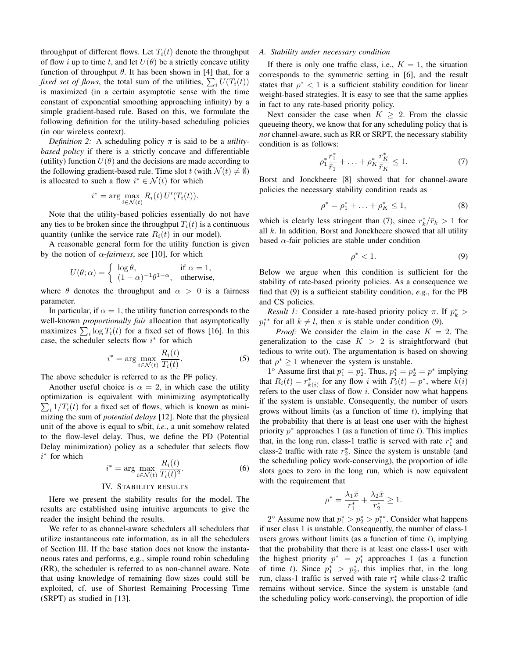throughput of different flows. Let  $T_i(t)$  denote the throughput of flow *i* up to time *t*, and let  $U(\theta)$  be a strictly concave utility function of throughput  $\theta$ . It has been shown in [4] that, for a *fixed set of flows*, the total sum of the utilities,  $\sum_i U(T_i(t))$ is maximized (in a certain asymptotic sense with the time constant of exponential smoothing approaching infinity) by a simple gradient-based rule. Based on this, we formulate the following definition for the utility-based scheduling policies (in our wireless context).

*Definition 2:* A scheduling policy  $\pi$  is said to be a *utilitybased policy* if there is a strictly concave and differentiable (utility) function  $U(\theta)$  and the decisions are made according to the following gradient-based rule. Time slot *t* (with  $\mathcal{N}(t) \neq \emptyset$ ) is allocated to such a flow  $i^* \in \mathcal{N}(t)$  for which

$$
i^* = \arg\max_{i \in \mathcal{N}(t)} R_i(t) U'(T_i(t)).
$$

Note that the utility-based policies essentially do not have any ties to be broken since the throughput  $T_i(t)$  is a continuous quantity (unlike the service rate  $R_i(t)$  in our model).

A reasonable general form for the utility function is given by the notion of  $\alpha$ -*fairness*, see [10], for which

$$
U(\theta; \alpha) = \begin{cases} \log \theta, & \text{if } \alpha = 1, \\ (1 - \alpha)^{-1} \theta^{1 - \alpha}, & \text{otherwise,} \end{cases}
$$

where  $\theta$  denotes the throughput and  $\alpha > 0$  is a fairness parameter.

In particular, if  $\alpha = 1$ , the utility function corresponds to the well-known *proportionally fair* allocation that asymptotically maximizes  $\sum_i \log T_i(t)$  for a fixed set of flows [16]. In this case, the scheduler selects flow *i ∗* for which

$$
i^* = \arg\max_{i \in \mathcal{N}(t)} \frac{R_i(t)}{T_i(t)}.
$$
 (5)

The above scheduler is referred to as the PF policy.

Another useful choice is  $\alpha = 2$ , in which case the utility optimization is equivalent with minimizing asymptotically  $\sum_i 1/T_i(t)$  for a fixed set of flows, which is known as minimizing the sum of *potential delays* [12]. Note that the physical unit of the above is equal to s/bit, *i.e.*, a unit somehow related to the flow-level delay. Thus, we define the PD (Potential Delay minimization) policy as a scheduler that selects flow *i ∗* for which

$$
i^* = \arg\max_{i \in \mathcal{N}(t)} \frac{R_i(t)}{T_i(t)^2}.
$$
 (6)

## IV. STABILITY RESULTS

Here we present the stability results for the model. The results are established using intuitive arguments to give the reader the insight behind the results.

We refer to as channel-aware schedulers all schedulers that utilize instantaneous rate information, as in all the schedulers of Section III. If the base station does not know the instantaneous rates and performs, e.g., simple round robin scheduling (RR), the scheduler is referred to as non-channel aware. Note that using knowledge of remaining flow sizes could still be exploited, cf. use of Shortest Remaining Processing Time (SRPT) as studied in [13].

# *A. Stability under necessary condition*

If there is only one traffic class, i.e.,  $K = 1$ , the situation corresponds to the symmetric setting in [6], and the result states that  $\rho^* < 1$  is a sufficient stability condition for linear weight-based strategies. It is easy to see that the same applies in fact to any rate-based priority policy.

Next consider the case when  $K \geq 2$ . From the classic queueing theory, we know that for any scheduling policy that is *not* channel-aware, such as RR or SRPT, the necessary stability condition is as follows:

$$
\rho_1^* \frac{r_1^*}{\bar{r}_1} + \ldots + \rho_K^* \frac{r_K^*}{\bar{r}_K} \le 1.
$$
 (7)

Borst and Jonckheere [8] showed that for channel-aware policies the necessary stability condition reads as

$$
\rho^* = \rho_1^* + \ldots + \rho_K^* \le 1,\tag{8}
$$

which is clearly less stringent than (7), since  $r_k^*/\bar{r}_k > 1$  for all *k*. In addition, Borst and Jonckheere showed that all utility based  $\alpha$ -fair policies are stable under condition

$$
\rho^* < 1. \tag{9}
$$

Below we argue when this condition is sufficient for the stability of rate-based priority policies. As a consequence we find that (9) is a sufficient stability condition, *e.g.*, for the PB and CS policies.

*Result 1:* Consider a rate-based priority policy  $\pi$ . If  $p_k^*$  >  $p_l^{**}$  for all  $k \neq l$ , then  $\pi$  is stable under condition (9).

*Proof:* We consider the claim in the case  $K = 2$ . The generalization to the case  $K > 2$  is straightforward (but tedious to write out). The argumentation is based on showing that  $\rho^* \geq 1$  whenever the system is unstable.

1<sup>*◦*</sup> Assume first that  $p_1^* = p_2^*$ . Thus,  $p_1^* = p_2^* = p^*$  implying that  $R_i(t) = r_{k(i)}^*$  for any flow *i* with  $P_i(t) = p^*$ , where  $k(i)$ refers to the user class of flow *i*. Consider now what happens if the system is unstable. Consequently, the number of users grows without limits (as a function of time *t*), implying that the probability that there is at least one user with the highest priority *p ∗* approaches 1 (as a function of time *t*). This implies that, in the long run, class-1 traffic is served with rate  $r_1^*$  and class-2 traffic with rate  $r_2^*$ . Since the system is unstable (and the scheduling policy work-conserving), the proportion of idle slots goes to zero in the long run, which is now equivalent with the requirement that

$$
\rho^* = \frac{\lambda_1 \bar{x}}{r_1^*} + \frac{\lambda_2 \bar{x}}{r_2^*} \ge 1.
$$

2 $\circ$  Assume now that  $p_1^* > p_2^* > p_1^{**}$ . Consider what happens if user class 1 is unstable. Consequently, the number of class-1 users grows without limits (as a function of time *t*), implying that the probability that there is at least one class-1 user with the highest priority  $p^* = p_1^*$  approaches 1 (as a function of time *t*). Since  $p_1^* > p_2^*$ , this implies that, in the long run, class-1 traffic is served with rate *r ∗* <sup>1</sup> while class-2 traffic remains without service. Since the system is unstable (and the scheduling policy work-conserving), the proportion of idle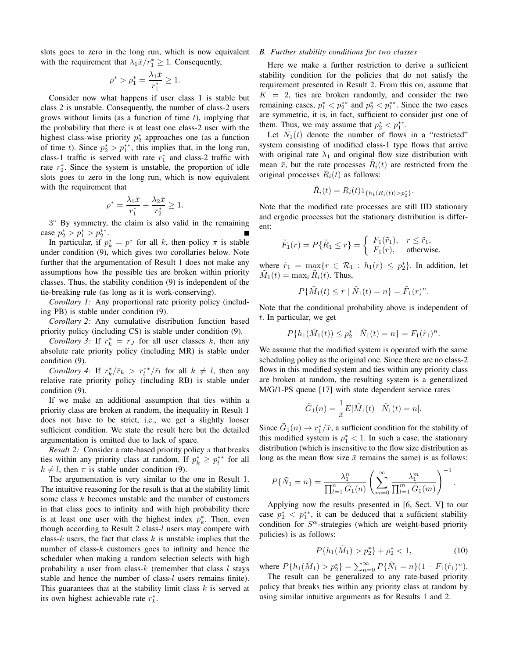slots goes to zero in the long run, which is now equivalent with the requirement that  $\lambda_1 \bar{x}/r_1^* \geq 1$ . Consequently,

$$
\rho^* > \rho_1^* = \frac{\lambda_1 \bar{x}}{r_1^*} \ge 1.
$$

Consider now what happens if user class 1 is stable but class 2 is unstable. Consequently, the number of class-2 users grows without limits (as a function of time *t*), implying that the probability that there is at least one class-2 user with the highest class-wise priority  $p_2^*$  approaches one (as a function of time *t*). Since  $p_2^* > p_1^{**}$ , this implies that, in the long run, class-1 traffic is served with rate  $r_1^*$  and class-2 traffic with rate  $r_2^*$ . Since the system is unstable, the proportion of idle slots goes to zero in the long run, which is now equivalent with the requirement that

$$
\rho^* = \frac{\lambda_1 \bar{x}}{r_1^*} + \frac{\lambda_2 \bar{x}}{r_2^*} \ge 1.
$$

3 *◦* By symmetry, the claim is also valid in the remaining case  $p_2^* > p_1^* > p_2^{**}$ .

In particular, if  $p_k^* = p^*$  for all *k*, then policy  $\pi$  is stable under condition (9), which gives two corollaries below. Note further that the argumentation of Result 1 does not make any assumptions how the possible ties are broken within priority classes. Thus, the stability condition (9) is independent of the tie-breaking rule (as long as it is work-conserving).

*Corollary 1:* Any proportional rate priority policy (including PB) is stable under condition (9).

*Corollary 2:* Any cumulative distribution function based priority policy (including CS) is stable under condition (9).

*Corollary 3:* If  $r_k^* = r_j$  for all user classes *k*, then any absolute rate priority policy (including MR) is stable under condition (9).

*Corollary 4:* If  $r_k^*/\bar{r}_k > r_l^{**}/\bar{r}_l$  for all  $k \neq l$ , then any relative rate priority policy (including RB) is stable under condition (9).

If we make an additional assumption that ties within a priority class are broken at random, the inequality in Result 1 does not have to be strict, i.e., we get a slightly looser sufficient condition. We state the result here but the detailed argumentation is omitted due to lack of space.

*Result 2:* Consider a rate-based priority policy *π* that breaks ties within any priority class at random. If  $p_k^* \geq p_l^{**}$  for all  $k \neq l$ , then  $\pi$  is stable under condition (9).

The argumentation is very similar to the one in Result 1. The intuitive reasoning for the result is that at the stability limit some class *k* becomes unstable and the number of customers in that class goes to infinity and with high probability there is at least one user with the highest index  $p_k^*$ . Then, even though according to Result 2 class-*l* users may compete with class-*k* users, the fact that class *k* is unstable implies that the number of class-*k* customers goes to infinity and hence the scheduler when making a random selection selects with high probability a user from class-*k* (remember that class *l* stays stable and hence the number of class-*l* users remains finite). This guarantees that at the stability limit class *k* is served at its own highest achievable rate  $r_k^*$ .

#### *B. Further stability conditions for two classes*

Here we make a further restriction to derive a sufficient stability condition for the policies that do not satisfy the requirement presented in Result 2. From this on, assume that  $K = 2$ , ties are broken randomly, and consider the two remaining cases,  $p_1^* < p_2^{**}$  and  $p_2^* < p_1^{**}$ . Since the two cases are symmetric, it is, in fact, sufficient to consider just one of them. Thus, we may assume that  $p_2^* < p_1^{**}$ .

Let  $\tilde{N}_1(t)$  denote the number of flows in a "restricted" system consisting of modified class-1 type flows that arrive with original rate  $\lambda_1$  and original flow size distribution with mean  $\bar{x}$ , but the rate processes  $\tilde{R}_i(t)$  are restricted from the original processes  $R_i(t)$  as follows:

$$
\tilde{R}_i(t) = R_i(t) 1_{\{h_1(R_i(t)) > p_2^*\}}.
$$

Note that the modified rate processes are still IID stationary and ergodic processes but the stationary distribution is different:

$$
\tilde{F}_1(r) = P\{\tilde{R}_1 \le r\} = \begin{cases} F_1(\tilde{r}_1), & r \le \tilde{r}_1, \\ F_1(r), & \text{otherwise.} \end{cases}
$$

where  $\tilde{r}_1 = \max_{\mathbf{x}} \{r \in \mathcal{R}_1 : h_1(r) \leq p_2^*\}$ . In addition, let  $\tilde{M}_1(t) = \max_i \tilde{R}_i(t)$ . Thus,

$$
P\{\tilde{M}_1(t) \le r \mid \tilde{N}_1(t) = n\} = \tilde{F}_1(r)^n.
$$

Note that the conditional probability above is independent of *t*. In particular, we get

$$
P\{h_1(\tilde{M}_1(t)) \le p_2^* \mid \tilde{N}_1(t) = n\} = F_1(\tilde{r}_1)^n.
$$

We assume that the modified system is operated with the same scheduling policy as the original one. Since there are no class-2 flows in this modified system and ties within any priority class are broken at random, the resulting system is a generalized M/G/1-PS queue [17] with state dependent service rates

$$
\tilde{G}_1(n) = \frac{1}{\bar{x}} E[\tilde{M}_1(t) | \tilde{N}_1(t) = n].
$$

Since  $\tilde{G}_1(n) \to r_1^*/\bar{x}$ , a sufficient condition for the stability of this modified system is  $\rho_1^* < 1$ . In such a case, the stationary distribution (which is insensitive to the flow size distribution as long as the mean flow size  $\bar{x}$  remains the same) is as follows:

$$
P\{\tilde{N}_1 = n\} = \frac{\lambda_1^n}{\prod_{l=1}^n \tilde{G}_1(n)} \left( \sum_{m=0}^\infty \frac{\lambda_1^m}{\prod_{l=1}^m \tilde{G}_1(m)} \right)^{-1}
$$

Applying now the results presented in [6, Sect. V] to our case  $p_2^* < p_1^{**}$ , it can be deduced that a sufficient stability condition for *S <sup>α</sup>*-strategies (which are weight-based priority policies) is as follows:

$$
P\{h_1(\tilde{M}_1) > p_2^*\} + \rho_2^* < 1,\tag{10}
$$

*.*

where  $P\{h_1(\tilde{M}_1) > p_2^*\} = \sum_{n=0}^{\infty} P\{\tilde{N}_1 = n\}(1 - F_1(\tilde{r}_1)^n).$ 

The result can be generalized to any rate-based priority policy that breaks ties within any priority class at random by using similar intuitive arguments as for Results 1 and 2.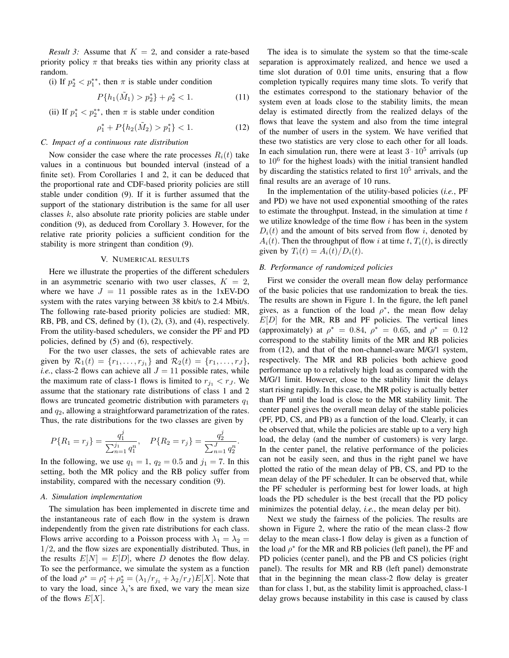*Result 3:* Assume that  $K = 2$ , and consider a rate-based priority policy  $\pi$  that breaks ties within any priority class at random.

(i) If  $p_2^* < p_1^{**}$ , then  $\pi$  is stable under condition

$$
P\{h_1(\tilde{M}_1) > p_2^*\} + \rho_2^* < 1. \tag{11}
$$

(ii) If  $p_1^* < p_2^{**}$ , then  $\pi$  is stable under condition

$$
\rho_1^* + P\{h_2(\tilde{M}_2) > p_1^*\} < 1. \tag{12}
$$

# *C. Impact of a continuous rate distribution*

Now consider the case where the rate processes  $R_i(t)$  take values in a continuous but bounded interval (instead of a finite set). From Corollaries 1 and 2, it can be deduced that the proportional rate and CDF-based priority policies are still stable under condition (9). If it is further assumed that the support of the stationary distribution is the same for all user classes *k*, also absolute rate priority policies are stable under condition (9), as deduced from Corollary 3. However, for the relative rate priority policies a sufficient condition for the stability is more stringent than condition (9).

# V. NUMERICAL RESULTS

Here we illustrate the properties of the different schedulers in an asymmetric scenario with two user classes,  $K = 2$ , where we have  $J = 11$  possible rates as in the 1xEV-DO system with the rates varying between 38 kbit/s to 2.4 Mbit/s. The following rate-based priority policies are studied: MR, RB, PB, and CS, defined by (1), (2), (3), and (4), respectively. From the utility-based schedulers, we consider the PF and PD policies, defined by (5) and (6), respectively.

For the two user classes, the sets of achievable rates are given by  $\mathcal{R}_1(t) = \{r_1, \ldots, r_{j_1}\}\$  and  $\mathcal{R}_2(t) = \{r_1, \ldots, r_J\}$ , *i.e.*, class-2 flows can achieve all  $J = 11$  possible rates, while the maximum rate of class-1 flows is limited to  $r_{j_1} < r_J$ . We assume that the stationary rate distributions of class 1 and 2 flows are truncated geometric distribution with parameters *q*<sup>1</sup> and *q*2, allowing a straightforward parametrization of the rates. Thus, the rate distributions for the two classes are given by

$$
P\{R_1 = r_j\} = \frac{q_1^j}{\sum_{n=1}^{j_1} q_1^n}, \quad P\{R_2 = r_j\} = \frac{q_2^j}{\sum_{n=1}^{J} q_2^n}.
$$

In the following, we use  $q_1 = 1$ ,  $q_2 = 0.5$  and  $j_1 = 7$ . In this setting, both the MR policy and the RB policy suffer from instability, compared with the necessary condition (9).

#### *A. Simulation implementation*

The simulation has been implemented in discrete time and the instantaneous rate of each flow in the system is drawn independently from the given rate distributions for each class. Flows arrive according to a Poisson process with  $\lambda_1 = \lambda_2 =$ 1*/*2, and the flow sizes are exponentially distributed. Thus, in the results  $E[N] = E[D]$ , where *D* denotes the flow delay. To see the performance, we simulate the system as a function of the load  $\rho^* = \rho_1^* + \rho_2^* = (\lambda_1/r_{j_1} + \lambda_2/r_J)E[X]$ . Note that to vary the load, since  $\lambda_i$ 's are fixed, we vary the mean size of the flows *E*[*X*].

The idea is to simulate the system so that the time-scale separation is approximately realized, and hence we used a time slot duration of 0.01 time units, ensuring that a flow completion typically requires many time slots. To verify that the estimates correspond to the stationary behavior of the system even at loads close to the stability limits, the mean delay is estimated directly from the realized delays of the flows that leave the system and also from the time integral of the number of users in the system. We have verified that these two statistics are very close to each other for all loads. In each simulation run, there were at least  $3 \cdot 10^5$  arrivals (up to  $10^6$  for the highest loads) with the initial transient handled by discarding the statistics related to first  $10<sup>5</sup>$  arrivals, and the final results are an average of 10 runs.

In the implementation of the utility-based policies (*i.e.*, PF and PD) we have not used exponential smoothing of the rates to estimate the throughput. Instead, in the simulation at time *t* we utilize knowledge of the time flow *i* has been in the system  $D_i(t)$  and the amount of bits served from flow *i*, denoted by  $A_i(t)$ . Then the throughput of flow *i* at time *t*,  $T_i(t)$ , is directly given by  $T_i(t) = A_i(t)/D_i(t)$ .

## *B. Performance of randomized policies*

First we consider the overall mean flow delay performance of the basic policies that use randomization to break the ties. The results are shown in Figure 1. In the figure, the left panel gives, as a function of the load  $\rho^*$ , the mean flow delay  $E[D]$  for the MR, RB and PF policies. The vertical lines (approximately) at  $\rho^* = 0.84$ ,  $\rho^* = 0.65$ , and  $\rho^* = 0.12$ correspond to the stability limits of the MR and RB policies from (12), and that of the non-channel-aware M/G/1 system, respectively. The MR and RB policies both achieve good performance up to a relatively high load as compared with the M/G/1 limit. However, close to the stability limit the delays start rising rapidly. In this case, the MR policy is actually better than PF until the load is close to the MR stability limit. The center panel gives the overall mean delay of the stable policies (PF, PD, CS, and PB) as a function of the load. Clearly, it can be observed that, while the policies are stable up to a very high load, the delay (and the number of customers) is very large. In the center panel, the relative performance of the policies can not be easily seen, and thus in the right panel we have plotted the ratio of the mean delay of PB, CS, and PD to the mean delay of the PF scheduler. It can be observed that, while the PF scheduler is performing best for lower loads, at high loads the PD scheduler is the best (recall that the PD policy minimizes the potential delay, *i.e.*, the mean delay per bit).

Next we study the fairness of the policies. The results are shown in Figure 2, where the ratio of the mean class-2 flow delay to the mean class-1 flow delay is given as a function of the load  $\rho^*$  for the MR and RB policies (left panel), the PF and PD policies (center panel), and the PB and CS policies (right panel). The results for MR and RB (left panel) demonstrate that in the beginning the mean class-2 flow delay is greater than for class 1, but, as the stability limit is approached, class-1 delay grows because instability in this case is caused by class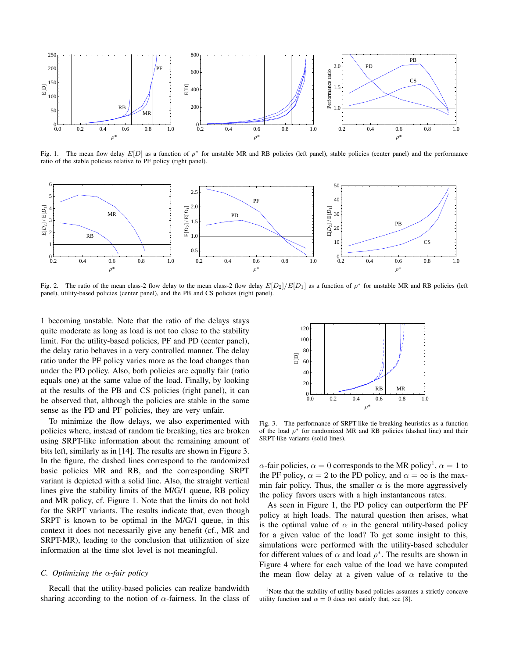

Fig. 1. The mean flow delay  $E[D]$  as a function of  $\rho^*$  for unstable MR and RB policies (left panel), stable policies (center panel) and the performance ratio of the stable policies relative to PF policy (right panel).



Fig. 2. The ratio of the mean class-2 flow delay to the mean class-2 flow delay *E*[*D*2]*/E*[*D*1] as a function of *ρ ∗* for unstable MR and RB policies (left panel), utility-based policies (center panel), and the PB and CS policies (right panel).

1 becoming unstable. Note that the ratio of the delays stays quite moderate as long as load is not too close to the stability limit. For the utility-based policies, PF and PD (center panel), the delay ratio behaves in a very controlled manner. The delay ratio under the PF policy varies more as the load changes than under the PD policy. Also, both policies are equally fair (ratio equals one) at the same value of the load. Finally, by looking at the results of the PB and CS policies (right panel), it can be observed that, although the policies are stable in the same sense as the PD and PF policies, they are very unfair.

To minimize the flow delays, we also experimented with policies where, instead of random tie breaking, ties are broken using SRPT-like information about the remaining amount of bits left, similarly as in [14]. The results are shown in Figure 3. In the figure, the dashed lines correspond to the randomized basic policies MR and RB, and the corresponding SRPT variant is depicted with a solid line. Also, the straight vertical lines give the stability limits of the M/G/1 queue, RB policy and MR policy, cf. Figure 1. Note that the limits do not hold for the SRPT variants. The results indicate that, even though SRPT is known to be optimal in the M/G/1 queue, in this context it does not necessarily give any benefit (cf., MR and SRPT-MR), leading to the conclusion that utilization of size information at the time slot level is not meaningful.

### *C. Optimizing the α-fair policy*

Recall that the utility-based policies can realize bandwidth sharing according to the notion of *α*-fairness. In the class of



Fig. 3. The performance of SRPT-like tie-breaking heuristics as a function of the load  $\rho^*$  for randomized MR and RB policies (dashed line) and their SRPT-like variants (solid lines).

 $\alpha$ -fair policies,  $\alpha = 0$  corresponds to the MR policy<sup>1</sup>,  $\alpha = 1$  to the PF policy,  $\alpha = 2$  to the PD policy, and  $\alpha = \infty$  is the maxmin fair policy. Thus, the smaller  $\alpha$  is the more aggressively the policy favors users with a high instantaneous rates.

As seen in Figure 1, the PD policy can outperform the PF policy at high loads. The natural question then arises, what is the optimal value of  $\alpha$  in the general utility-based policy for a given value of the load? To get some insight to this, simulations were performed with the utility-based scheduler for different values of  $\alpha$  and load  $\rho^*$ . The results are shown in Figure 4 where for each value of the load we have computed the mean flow delay at a given value of *α* relative to the

<sup>1</sup>Note that the stability of utility-based policies assumes a strictly concave utility function and  $\alpha = 0$  does not satisfy that, see [8].